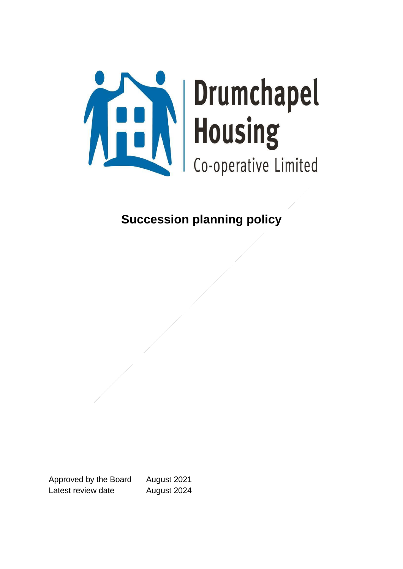

# **Succession planning policy**

Approved by the Board August 2021 Latest review date **August 2024**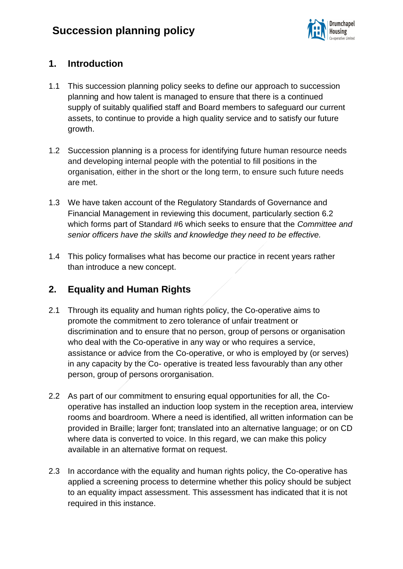

### **1. Introduction**

- 1.1 This succession planning policy seeks to define our approach to succession planning and how talent is managed to ensure that there is a continued supply of suitably qualified staff and Board members to safeguard our current assets, to continue to provide a high quality service and to satisfy our future growth.
- 1.2 Succession planning is a process for identifying future human resource needs and developing internal people with the potential to fill positions in the organisation, either in the short or the long term, to ensure such future needs are met.
- 1.3 We have taken account of the Regulatory Standards of Governance and Financial Management in reviewing this document, particularly section 6.2 which forms part of Standard #6 which seeks to ensure that the *Committee and senior officers have the skills and knowledge they need to be effective.*
- 1.4 This policy formalises what has become our practice in recent years rather than introduce a new concept.

# **2. Equality and Human Rights**

- 2.1 Through its equality and human rights policy, the Co-operative aims to promote the commitment to zero tolerance of unfair treatment or discrimination and to ensure that no person, group of persons or organisation who deal with the Co-operative in any way or who requires a service, assistance or advice from the Co-operative, or who is employed by (or serves) in any capacity by the Co- operative is treated less favourably than any other person, group of persons ororganisation.
- 2.2 As part of our commitment to ensuring equal opportunities for all, the Cooperative has installed an induction loop system in the reception area, interview rooms and boardroom. Where a need is identified, all written information can be provided in Braille; larger font; translated into an alternative language; or on CD where data is converted to voice. In this regard, we can make this policy available in an alternative format on request.
- 2.3 In accordance with the equality and human rights policy, the Co-operative has applied a screening process to determine whether this policy should be subject to an equality impact assessment. This assessment has indicated that it is not required in this instance.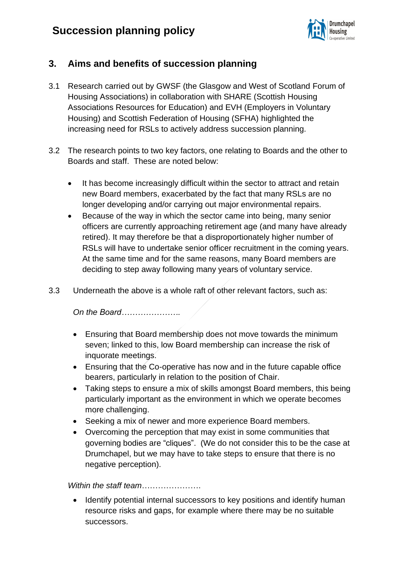# **Succession planning policy**



### **3. Aims and benefits of succession planning**

- 3.1 Research carried out by GWSF (the Glasgow and West of Scotland Forum of Housing Associations) in collaboration with SHARE (Scottish Housing Associations Resources for Education) and EVH (Employers in Voluntary Housing) and Scottish Federation of Housing (SFHA) highlighted the increasing need for RSLs to actively address succession planning.
- 3.2 The research points to two key factors, one relating to Boards and the other to Boards and staff. These are noted below:
	- It has become increasingly difficult within the sector to attract and retain new Board members, exacerbated by the fact that many RSLs are no longer developing and/or carrying out major environmental repairs.
	- Because of the way in which the sector came into being, many senior officers are currently approaching retirement age (and many have already retired). It may therefore be that a disproportionately higher number of RSLs will have to undertake senior officer recruitment in the coming years. At the same time and for the same reasons, many Board members are deciding to step away following many years of voluntary service.
- 3.3 Underneath the above is a whole raft of other relevant factors, such as:

*On the Board………………….*

- Ensuring that Board membership does not move towards the minimum seven; linked to this, low Board membership can increase the risk of inquorate meetings.
- Ensuring that the Co-operative has now and in the future capable office bearers, particularly in relation to the position of Chair.
- Taking steps to ensure a mix of skills amongst Board members, this being particularly important as the environment in which we operate becomes more challenging.
- Seeking a mix of newer and more experience Board members.
- Overcoming the perception that may exist in some communities that governing bodies are "cliques". (We do not consider this to be the case at Drumchapel, but we may have to take steps to ensure that there is no negative perception).

*Within the staff team*………………….

• Identify potential internal successors to key positions and identify human resource risks and gaps, for example where there may be no suitable successors.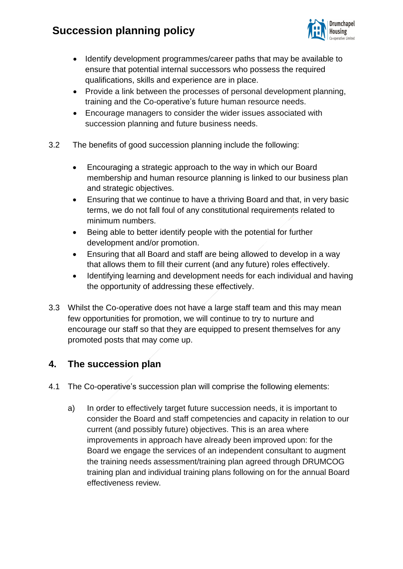# **Succession planning policy**



- Identify development programmes/career paths that may be available to ensure that potential internal successors who possess the required qualifications, skills and experience are in place.
- Provide a link between the processes of personal development planning, training and the Co-operative's future human resource needs.
- Encourage managers to consider the wider issues associated with succession planning and future business needs.
- 3.2 The benefits of good succession planning include the following:
	- Encouraging a strategic approach to the way in which our Board membership and human resource planning is linked to our business plan and strategic objectives.
	- Ensuring that we continue to have a thriving Board and that, in very basic terms, we do not fall foul of any constitutional requirements related to minimum numbers.
	- Being able to better identify people with the potential for further development and/or promotion.
	- Ensuring that all Board and staff are being allowed to develop in a way that allows them to fill their current (and any future) roles effectively.
	- Identifying learning and development needs for each individual and having the opportunity of addressing these effectively.
- 3.3 Whilst the Co-operative does not have a large staff team and this may mean few opportunities for promotion, we will continue to try to nurture and encourage our staff so that they are equipped to present themselves for any promoted posts that may come up.

### **4. The succession plan**

- 4.1 The Co-operative's succession plan will comprise the following elements:
	- a) In order to effectively target future succession needs, it is important to consider the Board and staff competencies and capacity in relation to our current (and possibly future) objectives. This is an area where improvements in approach have already been improved upon: for the Board we engage the services of an independent consultant to augment the training needs assessment/training plan agreed through DRUMCOG training plan and individual training plans following on for the annual Board effectiveness review.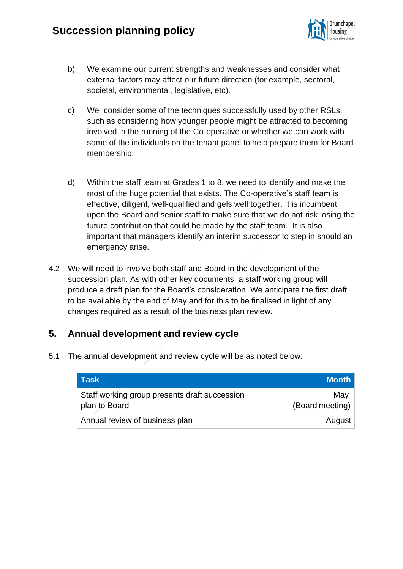

- b) We examine our current strengths and weaknesses and consider what external factors may affect our future direction (for example, sectoral, societal, environmental, legislative, etc).
- c) We consider some of the techniques successfully used by other RSLs, such as considering how younger people might be attracted to becoming involved in the running of the Co-operative or whether we can work with some of the individuals on the tenant panel to help prepare them for Board membership.
- d) Within the staff team at Grades 1 to 8, we need to identify and make the most of the huge potential that exists. The Co-operative's staff team is effective, diligent, well-qualified and gels well together. It is incumbent upon the Board and senior staff to make sure that we do not risk losing the future contribution that could be made by the staff team. It is also important that managers identify an interim successor to step in should an emergency arise.
- 4.2 We will need to involve both staff and Board in the development of the succession plan. As with other key documents, a staff working group will produce a draft plan for the Board's consideration. We anticipate the first draft to be available by the end of May and for this to be finalised in light of any changes required as a result of the business plan review.

#### **5. Annual development and review cycle**

5.1 The annual development and review cycle will be as noted below:

| <b>Task</b>                                                    | Month                  |
|----------------------------------------------------------------|------------------------|
| Staff working group presents draft succession<br>plan to Board | May<br>(Board meeting) |
| Annual review of business plan                                 | August                 |